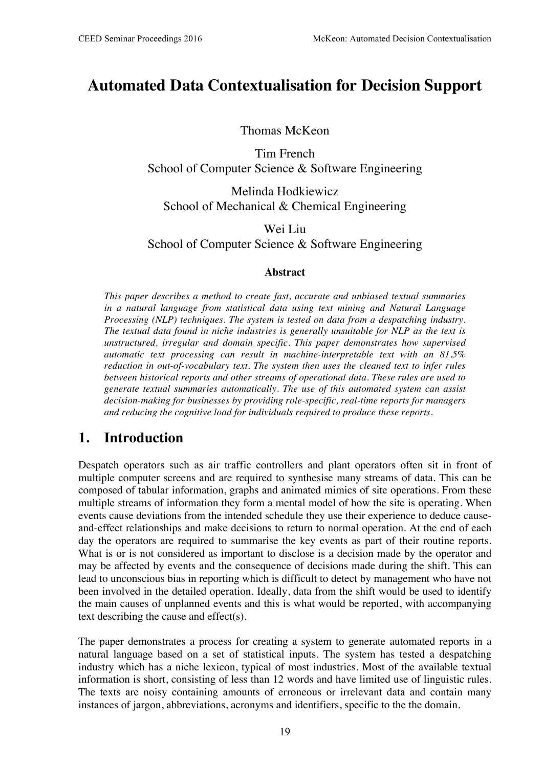# **Automated Data Contextualisation for Decision Support**

Thomas McKeon

Tim French School of Computer Science & Software Engineering

Melinda Hodkiewicz School of Mechanical & Chemical Engineering

Wei Liu School of Computer Science & Software Engineering

#### **Abstract**

*This paper describes a method to create fast, accurate and unbiased textual summaries in a natural language from statistical data using text mining and Natural Language Processing (NLP) techniques. The system is tested on data from a despatching industry. The textual data found in niche industries is generally unsuitable for NLP as the text is unstructured, irregular and domain specific. This paper demonstrates how supervised automatic text processing can result in machine-interpretable text with an 81.5% reduction in out-of-vocabulary text. The system then uses the cleaned text to infer rules between historical reports and other streams of operational data. These rules are used to generate textual summaries automatically. The use of this automated system can assist decision-making for businesses by providing role-specific, real-time reports for managers and reducing the cognitive load for individuals required to produce these reports.* 

# **1. Introduction**

Despatch operators such as air traffic controllers and plant operators often sit in front of multiple computer screens and are required to synthesise many streams of data. This can be composed of tabular information, graphs and animated mimics of site operations. From these multiple streams of information they form a mental model of how the site is operating. When events cause deviations from the intended schedule they use their experience to deduce causeand-effect relationships and make decisions to return to normal operation. At the end of each day the operators are required to summarise the key events as part of their routine reports. What is or is not considered as important to disclose is a decision made by the operator and may be affected by events and the consequence of decisions made during the shift. This can lead to unconscious bias in reporting which is difficult to detect by management who have not been involved in the detailed operation. Ideally, data from the shift would be used to identify the main causes of unplanned events and this is what would be reported, with accompanying text describing the cause and effect(s).

The paper demonstrates a process for creating a system to generate automated reports in a natural language based on a set of statistical inputs. The system has tested a despatching industry which has a niche lexicon, typical of most industries. Most of the available textual information is short, consisting of less than 12 words and have limited use of linguistic rules. The texts are noisy containing amounts of erroneous or irrelevant data and contain many instances of jargon, abbreviations, acronyms and identifiers, specific to the the domain.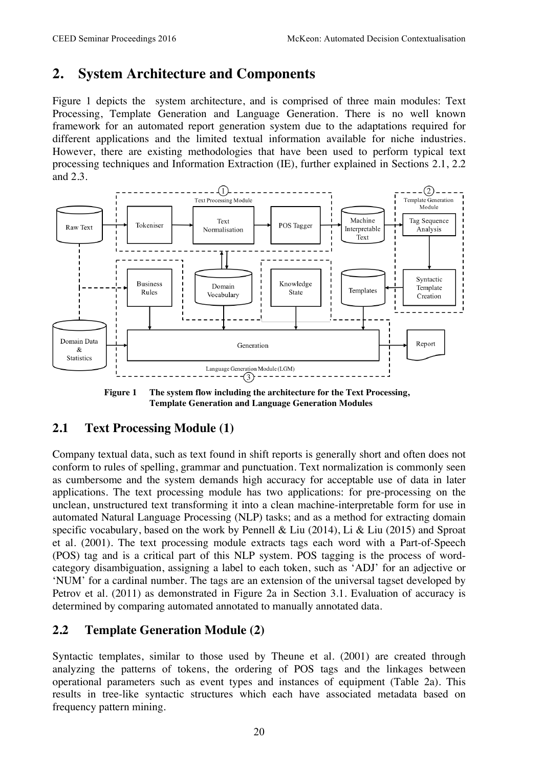## **2. System Architecture and Components**

Figure 1 depicts the system architecture, and is comprised of three main modules: Text Processing, Template Generation and Language Generation. There is no well known framework for an automated report generation system due to the adaptations required for different applications and the limited textual information available for niche industries. However, there are existing methodologies that have been used to perform typical text processing techniques and Information Extraction (IE), further explained in Sections 2.1, 2.2 and 2.3.



**Figure 1 The system flow including the architecture for the Text Processing, Template Generation and Language Generation Modules**

## **2.1 Text Processing Module (1)**

Company textual data, such as text found in shift reports is generally short and often does not conform to rules of spelling, grammar and punctuation. Text normalization is commonly seen as cumbersome and the system demands high accuracy for acceptable use of data in later applications. The text processing module has two applications: for pre-processing on the unclean, unstructured text transforming it into a clean machine-interpretable form for use in automated Natural Language Processing (NLP) tasks; and as a method for extracting domain specific vocabulary, based on the work by Pennell & Liu (2014), Li & Liu (2015) and Sproat et al. (2001). The text processing module extracts tags each word with a Part-of-Speech (POS) tag and is a critical part of this NLP system. POS tagging is the process of wordcategory disambiguation, assigning a label to each token, such as 'ADJ' for an adjective or 'NUM' for a cardinal number. The tags are an extension of the universal tagset developed by Petrov et al. (2011) as demonstrated in Figure 2a in Section 3.1. Evaluation of accuracy is determined by comparing automated annotated to manually annotated data.

## **2.2 Template Generation Module (2)**

Syntactic templates, similar to those used by Theune et al. (2001) are created through analyzing the patterns of tokens, the ordering of POS tags and the linkages between operational parameters such as event types and instances of equipment (Table 2a). This results in tree-like syntactic structures which each have associated metadata based on frequency pattern mining.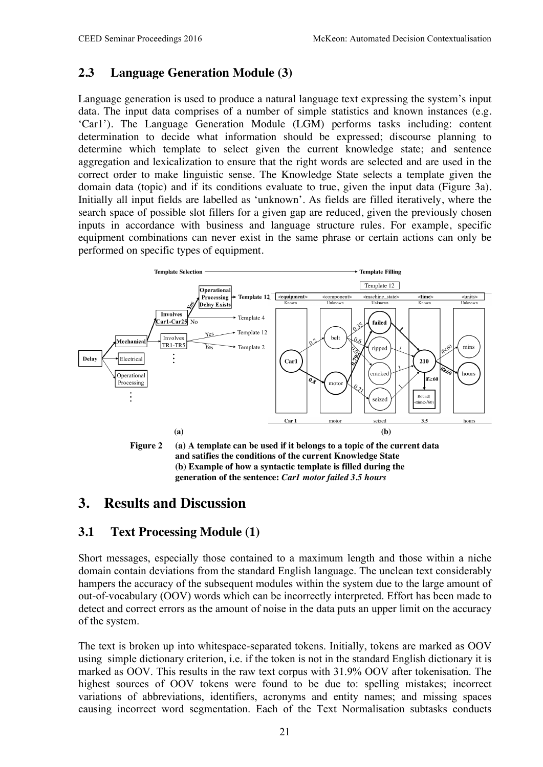## **2.3 Language Generation Module (3)**

Language generation is used to produce a natural language text expressing the system's input data. The input data comprises of a number of simple statistics and known instances (e.g. 'Car1'). The Language Generation Module (LGM) performs tasks including: content determination to decide what information should be expressed; discourse planning to determine which template to select given the current knowledge state; and sentence aggregation and lexicalization to ensure that the right words are selected and are used in the correct order to make linguistic sense. The Knowledge State selects a template given the domain data (topic) and if its conditions evaluate to true, given the input data (Figure 3a). Initially all input fields are labelled as 'unknown'. As fields are filled iteratively, where the search space of possible slot fillers for a given gap are reduced, given the previously chosen inputs in accordance with business and language structure rules. For example, specific equipment combinations can never exist in the same phrase or certain actions can only be performed on specific types of equipment.



**and satifies the conditions of the current Knowledge State (b) Example of how a syntactic template is filled during the generation of the sentence:** *Car1 motor failed 3.5 hours*

# **3. Results and Discussion**

## **3.1 Text Processing Module (1)**

Short messages, especially those contained to a maximum length and those within a niche domain contain deviations from the standard English language. The unclean text considerably hampers the accuracy of the subsequent modules within the system due to the large amount of out-of-vocabulary (OOV) words which can be incorrectly interpreted. Effort has been made to detect and correct errors as the amount of noise in the data puts an upper limit on the accuracy of the system.

The text is broken up into whitespace-separated tokens. Initially, tokens are marked as OOV using simple dictionary criterion, i.e. if the token is not in the standard English dictionary it is marked as OOV. This results in the raw text corpus with 31.9% OOV after tokenisation. The highest sources of OOV tokens were found to be due to: spelling mistakes; incorrect variations of abbreviations, identifiers, acronyms and entity names; and missing spaces causing incorrect word segmentation. Each of the Text Normalisation subtasks conducts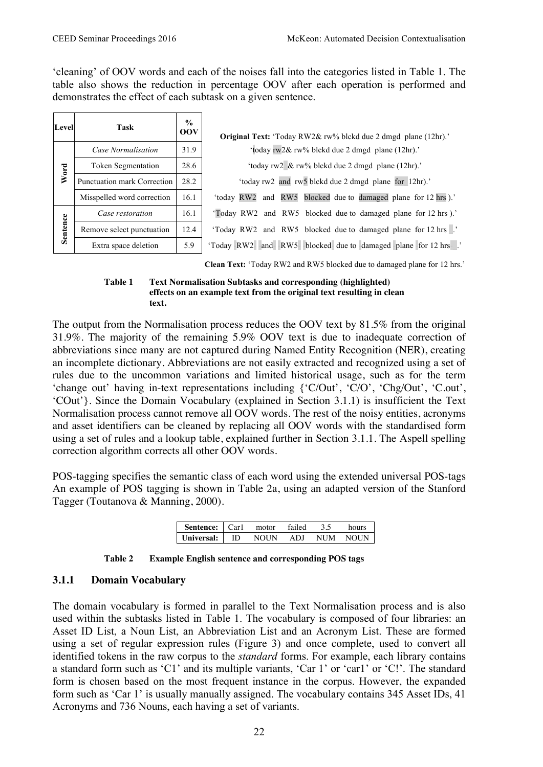'cleaning' of OOV words and each of the noises fall into the categories listed in Table 1. The table also shows the reduction in percentage OOV after each operation is performed and demonstrates the effect of each subtask on a given sentence.

| Level    | Task                               | $\frac{0}{0}$<br>OOV |
|----------|------------------------------------|----------------------|
| Word     | Case Normalisation                 | 31.9                 |
|          | <b>Token Segmentation</b>          | 28.6                 |
|          | <b>Punctuation mark Correction</b> | 28.2                 |
|          | Misspelled word correction         | 16.1                 |
| Sentence | Case restoration                   | 16.1                 |
|          | Remove select punctuation          | 12.4                 |
|          | Extra space deletion               | 5.9                  |

| 145B                        | 00V  | <b>Original Text:</b> 'Today RW2& rw% blckd due 2 dmgd plane (12hr).' |
|-----------------------------|------|-----------------------------------------------------------------------|
| Case Normalisation          | 31.9 | 'today rw2& rw% blckd due 2 dmgd plane (12hr).'                       |
| <b>Token Segmentation</b>   | 28.6 | 'today rw2 & rw% blckd due 2 dmgd plane (12hr).'                      |
| Punctuation mark Correction | 28.2 | 'today rw2 and rw5 blckd due 2 dmgd plane for 12hr).'                 |
| Misspelled word correction  | 16.1 | 'today RW2 and RW5 blocked due to damaged plane for 12 hrs ).'        |
| Case restoration            | 16.1 | 'Today RW2 and RW5 blocked due to damaged plane for 12 hrs.           |
| Remove select punctuation   | 12.4 | 'Today RW2 and RW5 blocked due to damaged plane for 12 hrs .'         |
| Extra space deletion        | 5.9  | 'Today RW2 and RW5 blocked due to damaged plane for 12 hrs.           |

**Clean Text:** 'Today RW2 and RW5 blocked due to damaged plane for 12 hrs.'

#### **Table 1 Text Normalisation Subtasks and corresponding (highlighted) effects on an example text from the original text resulting in clean text.**

The output from the Normalisation process reduces the OOV text by 81.5% from the original 31.9%. The majority of the remaining 5.9% OOV text is due to inadequate correction of abbreviations since many are not captured during Named Entity Recognition (NER), creating an incomplete dictionary. Abbreviations are not easily extracted and recognized using a set of rules due to the uncommon variations and limited historical usage, such as for the term 'change out' having in-text representations including {'C/Out', 'C/O', 'Chg/Out', 'C.out', 'COut'}. Since the Domain Vocabulary (explained in Section 3.1.1) is insufficient the Text Normalisation process cannot remove all OOV words. The rest of the noisy entities, acronyms and asset identifiers can be cleaned by replacing all OOV words with the standardised form using a set of rules and a lookup table, explained further in Section 3.1.1. The Aspell spelling correction algorithm corrects all other OOV words.

POS-tagging specifies the semantic class of each word using the extended universal POS-tags An example of POS tagging is shown in Table 2a, using an adapted version of the Stanford Tagger (Toutanova & Manning, 2000).

| <b>Sentence:</b> Carl |     | motor        | failed | hours    |
|-----------------------|-----|--------------|--------|----------|
| Universal:            | ID. | <b>NOLIN</b> | ADI    | NUM NOUN |

**Table 2 Example English sentence and corresponding POS tags**

### **3.1.1 Domain Vocabulary**

The domain vocabulary is formed in parallel to the Text Normalisation process and is also used within the subtasks listed in Table 1. The vocabulary is composed of four libraries: an Asset ID List, a Noun List, an Abbreviation List and an Acronym List. These are formed using a set of regular expression rules (Figure 3) and once complete, used to convert all identified tokens in the raw corpus to the *standard* forms. For example, each library contains a standard form such as 'C1' and its multiple variants, 'Car 1' or 'car1' or 'C!'. The standard form is chosen based on the most frequent instance in the corpus. However, the expanded form such as 'Car 1' is usually manually assigned. The vocabulary contains 345 Asset IDs, 41 Acronyms and 736 Nouns, each having a set of variants.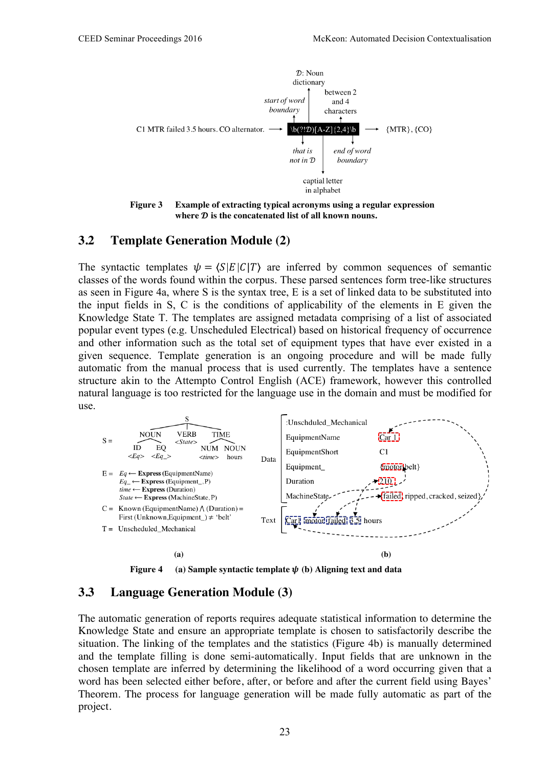

**Figure 3 Example of extracting typical acronyms using a regular expression** where *D* is the concatenated list of all known nouns.

#### **3.2 Template Generation Module (2)**

The syntactic templates  $\psi = \langle S|E|C|T\rangle$  are inferred by common sequences of semantic classes of the words found within the corpus. These parsed sentences form tree-like structures as seen in Figure 4a, where S is the syntax tree, E is a set of linked data to be substituted into the input fields in S, C is the conditions of applicability of the elements in E given the Knowledge State T. The templates are assigned metadata comprising of a list of associated popular event types (e.g. Unscheduled Electrical) based on historical frequency of occurrence and other information such as the total set of equipment types that have ever existed in a given sequence. Template generation is an ongoing procedure and will be made fully automatic from the manual process that is used currently. The templates have a sentence structure akin to the Attempto Control English (ACE) framework, however this controlled natural language is too restricted for the language use in the domain and must be modified for use.



**Figure 4** (a) Sample syntactic template  $\psi$  (b) Aligning text and data

#### **3.3 Language Generation Module (3)**

The automatic generation of reports requires adequate statistical information to determine the Knowledge State and ensure an appropriate template is chosen to satisfactorily describe the situation. The linking of the templates and the statistics (Figure 4b) is manually determined and the template filling is done semi-automatically. Input fields that are unknown in the chosen template are inferred by determining the likelihood of a word occurring given that a word has been selected either before, after, or before and after the current field using Bayes' Theorem. The process for language generation will be made fully automatic as part of the project.